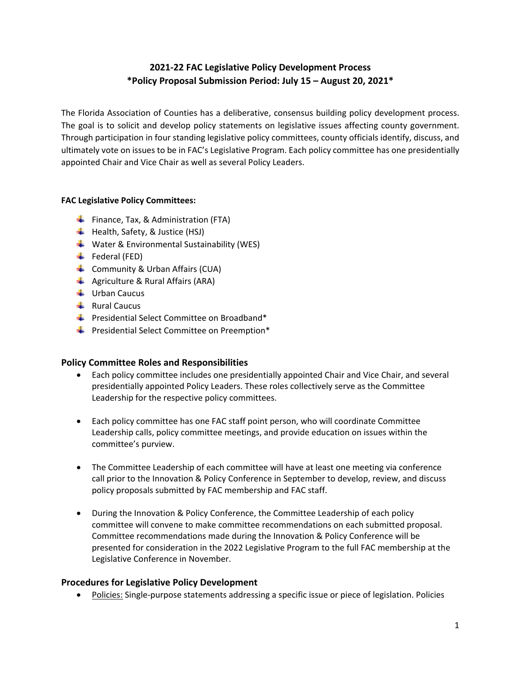# **2021-22 FAC Legislative Policy Development Process \*Policy Proposal Submission Period: July 15 – August 20, 2021\***

The Florida Association of Counties has a deliberative, consensus building policy development process. The goal is to solicit and develop policy statements on legislative issues affecting county government. Through participation in four standing legislative policy committees, county officials identify, discuss, and ultimately vote on issues to be in FAC's Legislative Program. Each policy committee has one presidentially appointed Chair and Vice Chair as well as several Policy Leaders.

## **FAC Legislative Policy Committees:**

- Finance, Tax, & Administration (FTA)
- $\overline{\phantom{a}}$  Health, Safety, & Justice (HSJ)
- $\frac{1}{2}$  Water & Environmental Sustainability (WES)
- $\leftarrow$  Federal (FED)
- $\leftarrow$  Community & Urban Affairs (CUA)
- $\triangleq$  Agriculture & Rural Affairs (ARA)
- $\downarrow$  Urban Caucus
- $\downarrow$  Rural Caucus
- Presidential Select Committee on Broadband\*
- $\bigstar$  Presidential Select Committee on Preemption\*

## **Policy Committee Roles and Responsibilities**

- Each policy committee includes one presidentially appointed Chair and Vice Chair, and several presidentially appointed Policy Leaders. These roles collectively serve as the Committee Leadership for the respective policy committees.
- Each policy committee has one FAC staff point person, who will coordinate Committee Leadership calls, policy committee meetings, and provide education on issues within the committee's purview.
- The Committee Leadership of each committee will have at least one meeting via conference call prior to the Innovation & Policy Conference in September to develop, review, and discuss policy proposals submitted by FAC membership and FAC staff.
- During the Innovation & Policy Conference, the Committee Leadership of each policy committee will convene to make committee recommendations on each submitted proposal. Committee recommendations made during the Innovation & Policy Conference will be presented for consideration in the 2022 Legislative Program to the full FAC membership at the Legislative Conference in November.

## **Procedures for Legislative Policy Development**

• Policies: Single-purpose statements addressing a specific issue or piece of legislation. Policies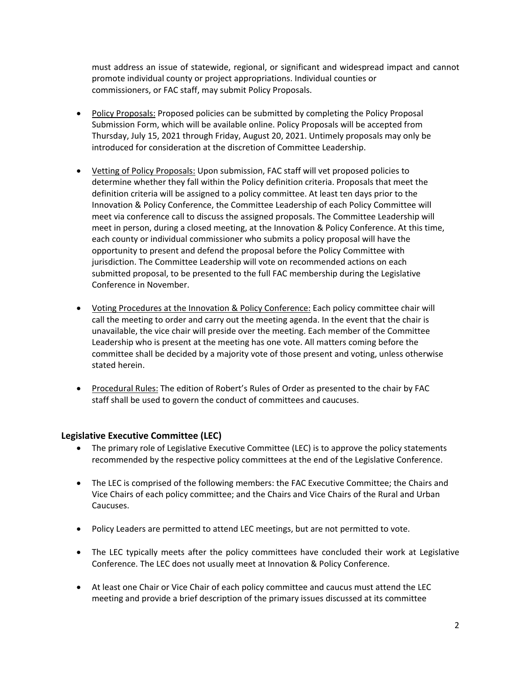must address an issue of statewide, regional, or significant and widespread impact and cannot promote individual county or project appropriations. Individual counties or commissioners, or FAC staff, may submit Policy Proposals.

- Policy Proposals: Proposed policies can be submitted by completing the Policy Proposal Submission Form, which will be available online. Policy Proposals will be accepted from Thursday, July 15, 2021 through Friday, August 20, 2021. Untimely proposals may only be introduced for consideration at the discretion of Committee Leadership.
- Vetting of Policy Proposals: Upon submission, FAC staff will vet proposed policies to determine whether they fall within the Policy definition criteria. Proposals that meet the definition criteria will be assigned to a policy committee. At least ten days prior to the Innovation & Policy Conference, the Committee Leadership of each Policy Committee will meet via conference call to discuss the assigned proposals. The Committee Leadership will meet in person, during a closed meeting, at the Innovation & Policy Conference. At this time, each county or individual commissioner who submits a policy proposal will have the opportunity to present and defend the proposal before the Policy Committee with jurisdiction. The Committee Leadership will vote on recommended actions on each submitted proposal, to be presented to the full FAC membership during the Legislative Conference in November.
- Voting Procedures at the Innovation & Policy Conference: Each policy committee chair will call the meeting to order and carry out the meeting agenda. In the event that the chair is unavailable, the vice chair will preside over the meeting. Each member of the Committee Leadership who is present at the meeting has one vote. All matters coming before the committee shall be decided by a majority vote of those present and voting, unless otherwise stated herein.
- Procedural Rules: The edition of Robert's Rules of Order as presented to the chair by FAC staff shall be used to govern the conduct of committees and caucuses.

## **Legislative Executive Committee (LEC)**

- The primary role of Legislative Executive Committee (LEC) is to approve the policy statements recommended by the respective policy committees at the end of the Legislative Conference.
- The LEC is comprised of the following members: the FAC Executive Committee; the Chairs and Vice Chairs of each policy committee; and the Chairs and Vice Chairs of the Rural and Urban Caucuses.
- Policy Leaders are permitted to attend LEC meetings, but are not permitted to vote.
- The LEC typically meets after the policy committees have concluded their work at Legislative Conference. The LEC does not usually meet at Innovation & Policy Conference.
- At least one Chair or Vice Chair of each policy committee and caucus must attend the LEC meeting and provide a brief description of the primary issues discussed at its committee